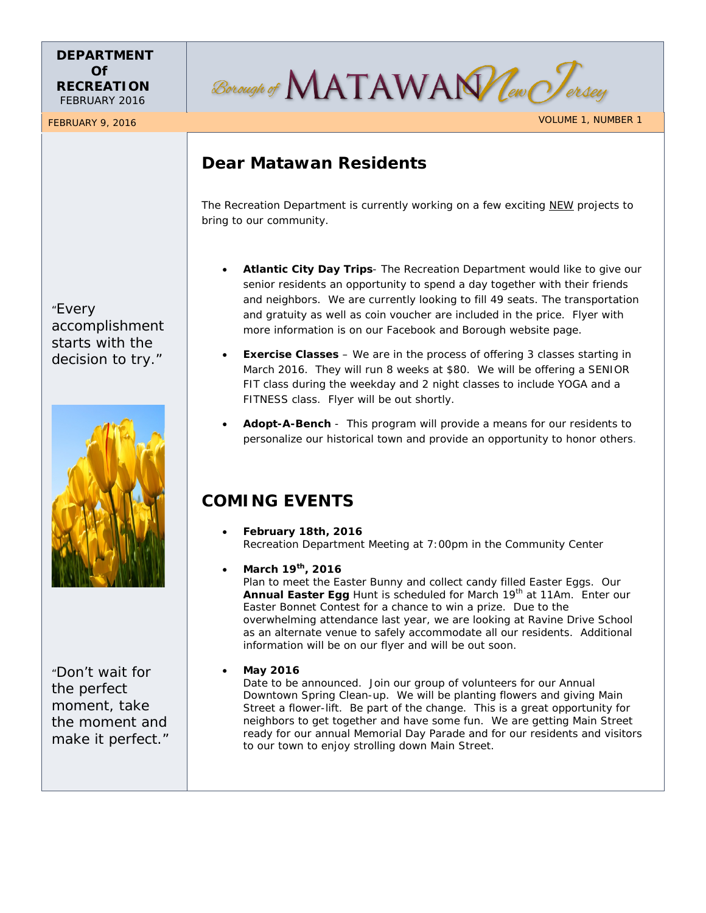### **DEPARTMENT Of RECREATION** FEBRUARY 2016

Borough of MATAWAN leve For

# **Dear Matawan Residents**

The Recreation Department is currently working on a few exciting NEW projects to bring to our community.

- **Atlantic City Day Trips** The Recreation Department would like to give our senior residents an opportunity to spend a day together with their friends and neighbors. We are currently looking to fill 49 seats. The transportation and gratuity as well as coin voucher are included in the price. Flyer with more information is on our Facebook and Borough website page.
- **Exercise Classes** We are in the process of offering 3 classes starting in March 2016. They will run 8 weeks at \$80. We will be offering a SENIOR FIT class during the weekday and 2 night classes to include YOGA and a FITNESS class. Flyer will be out shortly.
- **Adopt-A-Bench** This program will provide a means for our residents to personalize our historical town and provide an opportunity to honor others.

# **COMING EVENTS**

- **February 18th, 2016** Recreation Department Meeting at 7:00pm in the Community Center
	- **March 19th, 2016** Plan to meet the Easter Bunny and collect candy filled Easter Eggs. Our **Annual Easter Egg** Hunt is scheduled for March 19<sup>th</sup> at 11Am. Enter our Easter Bonnet Contest for a chance to win a prize. Due to the overwhelming attendance last year, we are looking at Ravine Drive School as an alternate venue to safely accommodate all our residents. Additional information will be on our flyer and will be out soon.

### • **May 2016**

Date to be announced. Join our group of volunteers for our Annual Downtown Spring Clean-up. We will be planting flowers and giving Main Street a flower-lift. Be part of the change. This is a great opportunity for neighbors to get together and have some fun. We are getting Main Street ready for our annual Memorial Day Parade and for our residents and visitors to our town to enjoy strolling down Main Street.

"Every accomplishment starts with the decision to try."



"Don't wait for the perfect moment, take the moment and make it perfect."